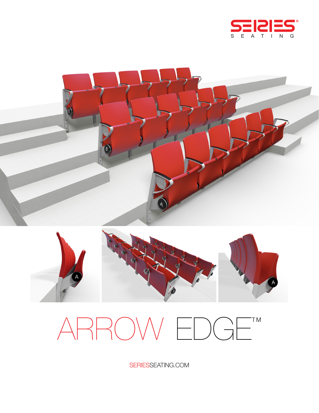





# ARROW EDGE<sup>TM</sup>

SERIESSEATING.COM